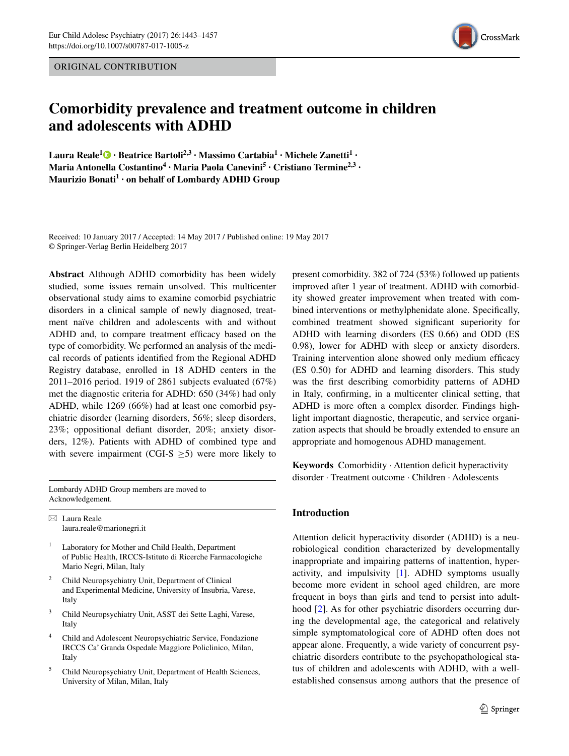ORIGINAL CONTRIBUTION



# **Comorbidity prevalence and treatment outcome in children and adolescents with ADHD**

**Laura Reale[1](http://orcid.org/0000-0003-4904-4293) · Beatrice Bartoli2,3 · Massimo Cartabia1 · Michele Zanetti1 · Maria Antonella Costantino<sup>4</sup> · Maria Paola Canevini<sup>5</sup> · Cristiano Termine2,3 · Maurizio Bonati<sup>1</sup> · on behalf of Lombardy ADHD Group**

Received: 10 January 2017 / Accepted: 14 May 2017 / Published online: 19 May 2017 © Springer-Verlag Berlin Heidelberg 2017

**Abstract** Although ADHD comorbidity has been widely studied, some issues remain unsolved. This multicenter observational study aims to examine comorbid psychiatric disorders in a clinical sample of newly diagnosed, treatment naïve children and adolescents with and without ADHD and, to compare treatment efficacy based on the type of comorbidity. We performed an analysis of the medical records of patients identifed from the Regional ADHD Registry database, enrolled in 18 ADHD centers in the 2011–2016 period. 1919 of 2861 subjects evaluated (67%) met the diagnostic criteria for ADHD: 650 (34%) had only ADHD, while 1269 (66%) had at least one comorbid psychiatric disorder (learning disorders, 56%; sleep disorders, 23%; oppositional defant disorder, 20%; anxiety disorders, 12%). Patients with ADHD of combined type and with severe impairment (CGI-S  $\geq$ 5) were more likely to

Lombardy ADHD Group members are moved to Acknowledgement.

 $\boxtimes$  Laura Reale laura.reale@marionegri.it

- <sup>1</sup> Laboratory for Mother and Child Health, Department of Public Health, IRCCS-Istituto di Ricerche Farmacologiche Mario Negri, Milan, Italy
- <sup>2</sup> Child Neuropsychiatry Unit, Department of Clinical and Experimental Medicine, University of Insubria, Varese, Italy
- <sup>3</sup> Child Neuropsychiatry Unit, ASST dei Sette Laghi, Varese, Italy
- <sup>4</sup> Child and Adolescent Neuropsychiatric Service, Fondazione IRCCS Ca' Granda Ospedale Maggiore Policlinico, Milan, Italy
- <sup>5</sup> Child Neuropsychiatry Unit, Department of Health Sciences, University of Milan, Milan, Italy

present comorbidity. 382 of 724 (53%) followed up patients improved after 1 year of treatment. ADHD with comorbidity showed greater improvement when treated with combined interventions or methylphenidate alone. Specifcally, combined treatment showed signifcant superiority for ADHD with learning disorders (ES 0.66) and ODD (ES 0.98), lower for ADHD with sleep or anxiety disorders. Training intervention alone showed only medium efficacy (ES 0.50) for ADHD and learning disorders. This study was the frst describing comorbidity patterns of ADHD in Italy, confrming, in a multicenter clinical setting, that ADHD is more often a complex disorder. Findings highlight important diagnostic, therapeutic, and service organization aspects that should be broadly extended to ensure an appropriate and homogenous ADHD management.

**Keywords** Comorbidity · Attention deficit hyperactivity disorder · Treatment outcome · Children · Adolescents

# **Introduction**

Attention deficit hyperactivity disorder (ADHD) is a neurobiological condition characterized by developmentally inappropriate and impairing patterns of inattention, hyperactivity, and impulsivity [[1\]](#page-12-0). ADHD symptoms usually become more evident in school aged children, are more frequent in boys than girls and tend to persist into adulthood [[2\]](#page-12-1). As for other psychiatric disorders occurring during the developmental age, the categorical and relatively simple symptomatological core of ADHD often does not appear alone. Frequently, a wide variety of concurrent psychiatric disorders contribute to the psychopathological status of children and adolescents with ADHD, with a wellestablished consensus among authors that the presence of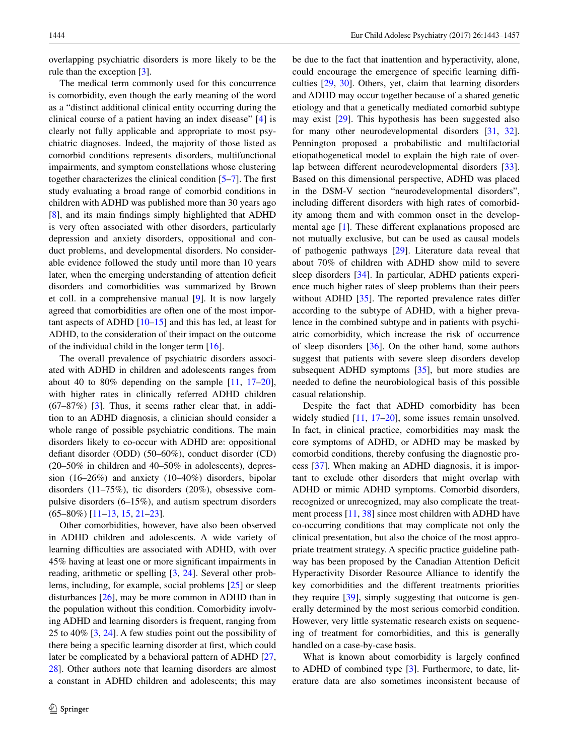overlapping psychiatric disorders is more likely to be the rule than the exception [\[3](#page-12-2)].

The medical term commonly used for this concurrence is comorbidity, even though the early meaning of the word as a "distinct additional clinical entity occurring during the clinical course of a patient having an index disease" [[4\]](#page-12-3) is clearly not fully applicable and appropriate to most psychiatric diagnoses. Indeed, the majority of those listed as comorbid conditions represents disorders, multifunctional impairments, and symptom constellations whose clustering together characterizes the clinical condition [\[5](#page-12-4)[–7](#page-12-5)]. The frst study evaluating a broad range of comorbid conditions in children with ADHD was published more than 30 years ago [\[8](#page-12-6)], and its main fndings simply highlighted that ADHD is very often associated with other disorders, particularly depression and anxiety disorders, oppositional and conduct problems, and developmental disorders. No considerable evidence followed the study until more than 10 years later, when the emerging understanding of attention deficit disorders and comorbidities was summarized by Brown et coll. in a comprehensive manual [[9\]](#page-12-7). It is now largely agreed that comorbidities are often one of the most important aspects of ADHD [\[10](#page-12-8)[–15](#page-12-9)] and this has led, at least for ADHD, to the consideration of their impact on the outcome of the individual child in the longer term [\[16](#page-12-10)].

The overall prevalence of psychiatric disorders associated with ADHD in children and adolescents ranges from about 40 to 80% depending on the sample  $[11, 17-20]$  $[11, 17-20]$  $[11, 17-20]$  $[11, 17-20]$ , with higher rates in clinically referred ADHD children (67–87%) [\[3](#page-12-2)]. Thus, it seems rather clear that, in addition to an ADHD diagnosis, a clinician should consider a whole range of possible psychiatric conditions. The main disorders likely to co-occur with ADHD are: oppositional defant disorder (ODD) (50–60%), conduct disorder (CD) (20–50% in children and 40–50% in adolescents), depression (16–26%) and anxiety (10–40%) disorders, bipolar disorders (11–75%), tic disorders (20%), obsessive compulsive disorders (6–15%), and autism spectrum disorders (65–80%) [[11–](#page-12-11)[13,](#page-12-14) [15,](#page-12-9) [21–](#page-12-15)[23\]](#page-12-16).

Other comorbidities, however, have also been observed in ADHD children and adolescents. A wide variety of learning diffculties are associated with ADHD, with over 45% having at least one or more signifcant impairments in reading, arithmetic or spelling [[3,](#page-12-2) [24\]](#page-12-17). Several other problems, including, for example, social problems [\[25](#page-12-18)] or sleep disturbances [\[26](#page-12-19)], may be more common in ADHD than in the population without this condition. Comorbidity involving ADHD and learning disorders is frequent, ranging from 25 to 40% [\[3](#page-12-2), [24](#page-12-17)]. A few studies point out the possibility of there being a specifc learning disorder at frst, which could later be complicated by a behavioral pattern of ADHD [[27,](#page-12-20) [28](#page-12-21)]. Other authors note that learning disorders are almost a constant in ADHD children and adolescents; this may be due to the fact that inattention and hyperactivity, alone, could encourage the emergence of specifc learning diffculties [\[29](#page-12-22), [30\]](#page-12-23). Others, yet, claim that learning disorders and ADHD may occur together because of a shared genetic etiology and that a genetically mediated comorbid subtype may exist [\[29](#page-12-22)]. This hypothesis has been suggested also for many other neurodevelopmental disorders [\[31](#page-12-24), [32](#page-12-25)]. Pennington proposed a probabilistic and multifactorial etiopathogenetical model to explain the high rate of overlap between different neurodevelopmental disorders [\[33](#page-12-26)]. Based on this dimensional perspective, ADHD was placed in the DSM-V section "neurodevelopmental disorders", including different disorders with high rates of comorbidity among them and with common onset in the developmental age [[1\]](#page-12-0). These different explanations proposed are not mutually exclusive, but can be used as causal models of pathogenic pathways [[29\]](#page-12-22). Literature data reveal that about 70% of children with ADHD show mild to severe sleep disorders [[34\]](#page-12-27). In particular, ADHD patients experience much higher rates of sleep problems than their peers without ADHD [\[35](#page-12-28)]. The reported prevalence rates differ according to the subtype of ADHD, with a higher prevalence in the combined subtype and in patients with psychiatric comorbidity, which increase the risk of occurrence of sleep disorders [[36\]](#page-12-29). On the other hand, some authors suggest that patients with severe sleep disorders develop subsequent ADHD symptoms [\[35](#page-12-28)], but more studies are needed to defne the neurobiological basis of this possible casual relationship.

Despite the fact that ADHD comorbidity has been widely studied [\[11](#page-12-11), [17](#page-12-12)[–20](#page-12-13)], some issues remain unsolved. In fact, in clinical practice, comorbidities may mask the core symptoms of ADHD, or ADHD may be masked by comorbid conditions, thereby confusing the diagnostic process [[37\]](#page-12-30). When making an ADHD diagnosis, it is important to exclude other disorders that might overlap with ADHD or mimic ADHD symptoms. Comorbid disorders, recognized or unrecognized, may also complicate the treatment process [\[11](#page-12-11), [38](#page-12-31)] since most children with ADHD have co-occurring conditions that may complicate not only the clinical presentation, but also the choice of the most appropriate treatment strategy. A specifc practice guideline pathway has been proposed by the Canadian Attention Deficit Hyperactivity Disorder Resource Alliance to identify the key comorbidities and the different treatments priorities they require [\[39](#page-12-32)], simply suggesting that outcome is generally determined by the most serious comorbid condition. However, very little systematic research exists on sequencing of treatment for comorbidities, and this is generally handled on a case-by-case basis.

What is known about comorbidity is largely confned to ADHD of combined type [\[3](#page-12-2)]. Furthermore, to date, literature data are also sometimes inconsistent because of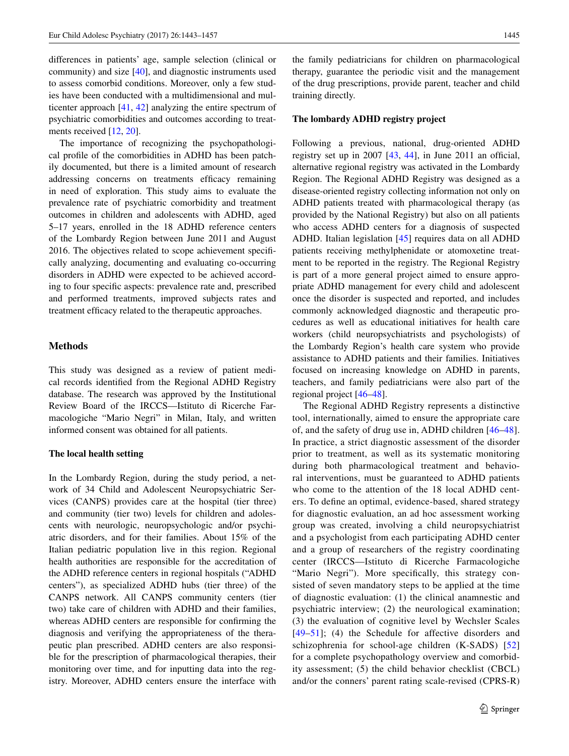differences in patients' age, sample selection (clinical or community) and size [[40\]](#page-12-33), and diagnostic instruments used to assess comorbid conditions. Moreover, only a few studies have been conducted with a multidimensional and multicenter approach [[41,](#page-12-34) [42](#page-13-0)] analyzing the entire spectrum of psychiatric comorbidities and outcomes according to treatments received [[12,](#page-12-35) [20\]](#page-12-13).

The importance of recognizing the psychopathological profle of the comorbidities in ADHD has been patchily documented, but there is a limited amount of research addressing concerns on treatments efficacy remaining in need of exploration. This study aims to evaluate the prevalence rate of psychiatric comorbidity and treatment outcomes in children and adolescents with ADHD, aged 5–17 years, enrolled in the 18 ADHD reference centers of the Lombardy Region between June 2011 and August 2016. The objectives related to scope achievement specifcally analyzing, documenting and evaluating co-occurring disorders in ADHD were expected to be achieved according to four specifc aspects: prevalence rate and, prescribed and performed treatments, improved subjects rates and treatment efficacy related to the therapeutic approaches.

# **Methods**

This study was designed as a review of patient medical records identifed from the Regional ADHD Registry database. The research was approved by the Institutional Review Board of the IRCCS—Istituto di Ricerche Farmacologiche "Mario Negri" in Milan, Italy, and written informed consent was obtained for all patients.

## **The local health setting**

In the Lombardy Region, during the study period, a network of 34 Child and Adolescent Neuropsychiatric Services (CANPS) provides care at the hospital (tier three) and community (tier two) levels for children and adolescents with neurologic, neuropsychologic and/or psychiatric disorders, and for their families. About 15% of the Italian pediatric population live in this region. Regional health authorities are responsible for the accreditation of the ADHD reference centers in regional hospitals ("ADHD centers"), as specialized ADHD hubs (tier three) of the CANPS network. All CANPS community centers (tier two) take care of children with ADHD and their families, whereas ADHD centers are responsible for confrming the diagnosis and verifying the appropriateness of the therapeutic plan prescribed. ADHD centers are also responsible for the prescription of pharmacological therapies, their monitoring over time, and for inputting data into the registry. Moreover, ADHD centers ensure the interface with the family pediatricians for children on pharmacological therapy, guarantee the periodic visit and the management of the drug prescriptions, provide parent, teacher and child training directly.

#### **The lombardy ADHD registry project**

Following a previous, national, drug-oriented ADHD registry set up in  $2007$   $[43, 44]$  $[43, 44]$  $[43, 44]$ , in June  $2011$  an official, alternative regional registry was activated in the Lombardy Region. The Regional ADHD Registry was designed as a disease-oriented registry collecting information not only on ADHD patients treated with pharmacological therapy (as provided by the National Registry) but also on all patients who access ADHD centers for a diagnosis of suspected ADHD. Italian legislation [[45\]](#page-13-3) requires data on all ADHD patients receiving methylphenidate or atomoxetine treatment to be reported in the registry. The Regional Registry is part of a more general project aimed to ensure appropriate ADHD management for every child and adolescent once the disorder is suspected and reported, and includes commonly acknowledged diagnostic and therapeutic procedures as well as educational initiatives for health care workers (child neuropsychiatrists and psychologists) of the Lombardy Region's health care system who provide assistance to ADHD patients and their families. Initiatives focused on increasing knowledge on ADHD in parents, teachers, and family pediatricians were also part of the regional project [[46–](#page-13-4)[48\]](#page-13-5).

The Regional ADHD Registry represents a distinctive tool, internationally, aimed to ensure the appropriate care of, and the safety of drug use in, ADHD children [[46–](#page-13-4)[48](#page-13-5)]. In practice, a strict diagnostic assessment of the disorder prior to treatment, as well as its systematic monitoring during both pharmacological treatment and behavioral interventions, must be guaranteed to ADHD patients who come to the attention of the 18 local ADHD centers. To defne an optimal, evidence-based, shared strategy for diagnostic evaluation, an ad hoc assessment working group was created, involving a child neuropsychiatrist and a psychologist from each participating ADHD center and a group of researchers of the registry coordinating center (IRCCS—Istituto di Ricerche Farmacologiche "Mario Negri"). More specifically, this strategy consisted of seven mandatory steps to be applied at the time of diagnostic evaluation: (1) the clinical anamnestic and psychiatric interview; (2) the neurological examination; (3) the evaluation of cognitive level by Wechsler Scales [[49–](#page-13-6)[51](#page-13-7)]; (4) the Schedule for affective disorders and schizophrenia for school-age children (K-SADS) [[52\]](#page-13-8) for a complete psychopathology overview and comorbidity assessment; (5) the child behavior checklist (CBCL) and/or the conners' parent rating scale-revised (CPRS-R)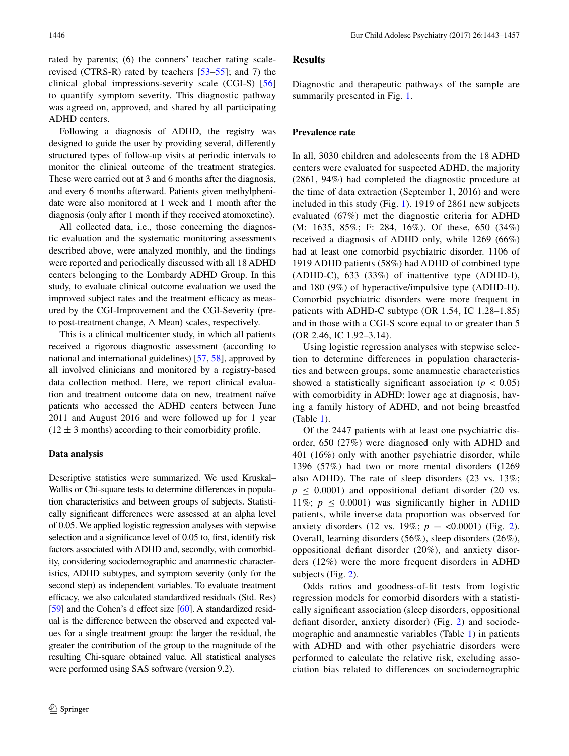rated by parents; (6) the conners' teacher rating scalerevised (CTRS-R) rated by teachers [[53](#page-13-9)[–55\]](#page-13-10); and 7) the clinical global impressions-severity scale (CGI-S) [[56\]](#page-13-11) to quantify symptom severity. This diagnostic pathway was agreed on, approved, and shared by all participating ADHD centers.

Following a diagnosis of ADHD, the registry was designed to guide the user by providing several, differently structured types of follow-up visits at periodic intervals to monitor the clinical outcome of the treatment strategies. These were carried out at 3 and 6 months after the diagnosis, and every 6 months afterward. Patients given methylphenidate were also monitored at 1 week and 1 month after the diagnosis (only after 1 month if they received atomoxetine).

All collected data, i.e., those concerning the diagnostic evaluation and the systematic monitoring assessments described above, were analyzed monthly, and the fndings were reported and periodically discussed with all 18 ADHD centers belonging to the Lombardy ADHD Group. In this study, to evaluate clinical outcome evaluation we used the improved subject rates and the treatment efficacy as measured by the CGI-Improvement and the CGI-Severity (preto post-treatment change,  $\Delta$  Mean) scales, respectively.

This is a clinical multicenter study, in which all patients received a rigorous diagnostic assessment (according to national and international guidelines) [\[57](#page-13-12), [58](#page-13-13)], approved by all involved clinicians and monitored by a registry-based data collection method. Here, we report clinical evaluation and treatment outcome data on new, treatment naïve patients who accessed the ADHD centers between June 2011 and August 2016 and were followed up for 1 year  $(12 \pm 3 \text{ months})$  according to their comorbidity profile.

#### **Data analysis**

Descriptive statistics were summarized. We used Kruskal– Wallis or Chi-square tests to determine differences in population characteristics and between groups of subjects. Statistically signifcant differences were assessed at an alpha level of 0.05. We applied logistic regression analyses with stepwise selection and a signifcance level of 0.05 to, frst, identify risk factors associated with ADHD and, secondly, with comorbidity, considering sociodemographic and anamnestic characteristics, ADHD subtypes, and symptom severity (only for the second step) as independent variables. To evaluate treatment effcacy, we also calculated standardized residuals (Std. Res) [\[59\]](#page-13-14) and the Cohen's d effect size [\[60](#page-13-15)]. A standardized residual is the difference between the observed and expected values for a single treatment group: the larger the residual, the greater the contribution of the group to the magnitude of the resulting Chi-square obtained value. All statistical analyses were performed using SAS software (version 9.2).

#### **Results**

Diagnostic and therapeutic pathways of the sample are summarily presented in Fig. [1.](#page-4-0)

#### **Prevalence rate**

In all, 3030 children and adolescents from the 18 ADHD centers were evaluated for suspected ADHD, the majority (2861, 94%) had completed the diagnostic procedure at the time of data extraction (September 1, 2016) and were included in this study (Fig. [1](#page-4-0)). 1919 of 2861 new subjects evaluated (67%) met the diagnostic criteria for ADHD (M: 1635, 85%; F: 284, 16%). Of these, 650 (34%) received a diagnosis of ADHD only, while 1269 (66%) had at least one comorbid psychiatric disorder. 1106 of 1919 ADHD patients (58%) had ADHD of combined type (ADHD-C), 633 (33%) of inattentive type (ADHD-I), and 180 (9%) of hyperactive/impulsive type (ADHD-H). Comorbid psychiatric disorders were more frequent in patients with ADHD-C subtype (OR 1.54, IC 1.28–1.85) and in those with a CGI-S score equal to or greater than 5 (OR 2.46, IC 1.92–3.14).

Using logistic regression analyses with stepwise selection to determine differences in population characteristics and between groups, some anamnestic characteristics showed a statistically significant association ( $p < 0.05$ ) with comorbidity in ADHD: lower age at diagnosis, having a family history of ADHD, and not being breastfed (Table [1](#page-5-0)).

Of the 2447 patients with at least one psychiatric disorder, 650 (27%) were diagnosed only with ADHD and 401 (16%) only with another psychiatric disorder, while 1396 (57%) had two or more mental disorders (1269 also ADHD). The rate of sleep disorders (23 vs. 13%;  $p \leq 0.0001$ ) and oppositional defiant disorder (20 vs. 11%;  $p \leq 0.0001$ ) was significantly higher in ADHD patients, while inverse data proportion was observed for anxiety disorders (1[2](#page-6-0) vs. 19%;  $p = <0.0001$ ) (Fig. 2). Overall, learning disorders (56%), sleep disorders (26%), oppositional defant disorder (20%), and anxiety disorders (12%) were the more frequent disorders in ADHD subjects (Fig. [2\)](#page-6-0).

Odds ratios and goodness-of-ft tests from logistic regression models for comorbid disorders with a statistically signifcant association (sleep disorders, oppositional defant disorder, anxiety disorder) (Fig. [2](#page-6-0)) and sociodemographic and anamnestic variables (Table [1\)](#page-5-0) in patients with ADHD and with other psychiatric disorders were performed to calculate the relative risk, excluding association bias related to differences on sociodemographic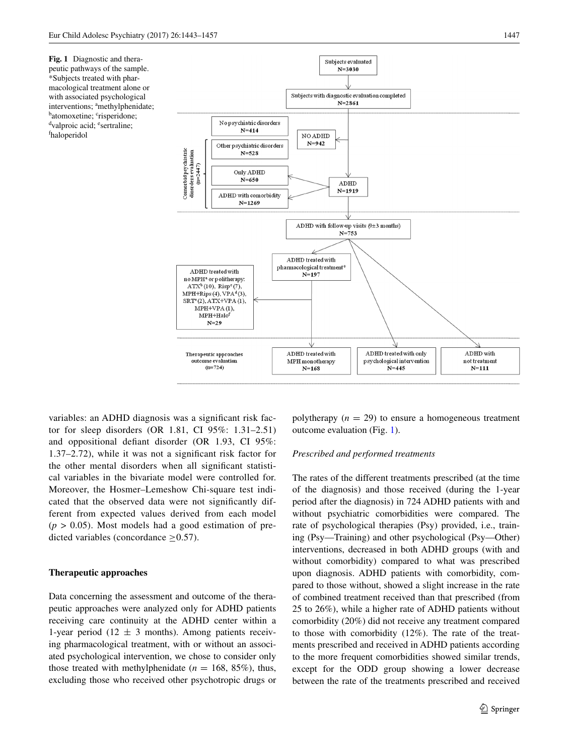<span id="page-4-0"></span>**Fig. 1** Diagnostic and therapeutic pathways of the sample. \*Subjects treated with pharmacological treatment alone or with associated psychological interventions; <sup>a</sup>methylphenidate;<br>batomoxeting: <sup>c</sup>risperidone; batomoxetine; crisperidone;<br>dvalproic acid: <sup>e</sup>sertraline; <sup>d</sup>valproic acid; <sup>e</sup>sertraline; haloperidol





Subjects evaluated  $N = 3030$ 

variables: an ADHD diagnosis was a signifcant risk factor for sleep disorders (OR 1.81, CI 95%: 1.31–2.51) and oppositional defant disorder (OR 1.93, CI 95%: 1.37–2.72), while it was not a signifcant risk factor for the other mental disorders when all signifcant statistical variables in the bivariate model were controlled for. Moreover, the Hosmer–Lemeshow Chi-square test indicated that the observed data were not signifcantly different from expected values derived from each model  $(p > 0.05)$ . Most models had a good estimation of predicted variables (concordance  $\geq$ 0.57).

### **Therapeutic approaches**

Data concerning the assessment and outcome of the therapeutic approaches were analyzed only for ADHD patients receiving care continuity at the ADHD center within a 1-year period (12  $\pm$  3 months). Among patients receiving pharmacological treatment, with or without an associated psychological intervention, we chose to consider only those treated with methylphenidate  $(n = 168, 85\%)$ , thus, excluding those who received other psychotropic drugs or polytherapy  $(n = 29)$  to ensure a homogeneous treatment outcome evaluation (Fig. [1](#page-4-0)).

#### *Prescribed and performed treatments*

The rates of the different treatments prescribed (at the time of the diagnosis) and those received (during the 1-year period after the diagnosis) in 724 ADHD patients with and without psychiatric comorbidities were compared. The rate of psychological therapies (Psy) provided, i.e., training (Psy—Training) and other psychological (Psy—Other) interventions, decreased in both ADHD groups (with and without comorbidity) compared to what was prescribed upon diagnosis. ADHD patients with comorbidity, compared to those without, showed a slight increase in the rate of combined treatment received than that prescribed (from 25 to 26%), while a higher rate of ADHD patients without comorbidity (20%) did not receive any treatment compared to those with comorbidity (12%). The rate of the treatments prescribed and received in ADHD patients according to the more frequent comorbidities showed similar trends, except for the ODD group showing a lower decrease between the rate of the treatments prescribed and received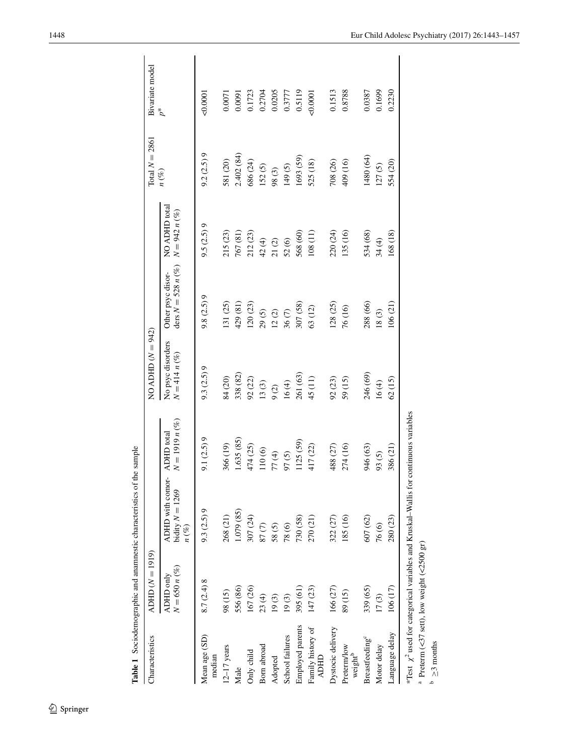|                                    | Table 1 Sociodemographic and anamnestic characteristics of |                                                                                                  | the sample                            |                                           |                                           |                                  |                  |                 |
|------------------------------------|------------------------------------------------------------|--------------------------------------------------------------------------------------------------|---------------------------------------|-------------------------------------------|-------------------------------------------|----------------------------------|------------------|-----------------|
| Characteristics                    | ADHD $(N = 1919)$                                          |                                                                                                  |                                       | NO ADHD $(N = 942)$                       |                                           |                                  | $Total N = 2861$ | Bivariate model |
|                                    | $N = 650 n (%)$<br>ADHD only                               | ADHD with comor-<br>bidity $N = 1269$<br>$n\left(\%)$                                            | $N = 1919 n (%)$<br><b>ADHD</b> total | No psyc disorders<br>$N = 414 n \, (\% )$ | ders $N = 528 n (%)$<br>Other psyc disor- | NO ADHD total<br>$N = 942 n (%)$ | $n\, (\%)$       | $p^*$           |
| Mean age (SD)<br>median            | 8.7(2.4)8                                                  | 9.3(2.5)9                                                                                        | 9.1(2.5)9                             | 9.3(2.5)9                                 | 9.8(2.5)9                                 | 9.5(2.5)9                        | 9.2(2.5)9        | 0.0001          |
| $12-17$ years                      | 98 (15)                                                    | 268 (21)                                                                                         | 366 (19)                              | 84(20)                                    | 131 (25)                                  | 215 (23)                         | 581 (20)         | 0.0071          |
| Male                               | 556 (86)                                                   | 1.079 (85)                                                                                       | 1.635 (85)                            | 338 (82)                                  | 429 (81)                                  | 767 (81)                         | 2.402 (84)       | 0.0091          |
| Only child                         | 167 (26)                                                   | 307 (24)                                                                                         | 474 (25)                              | 92(22)                                    | 120(23)                                   | 212 (23)                         | 686 (24)         | 0.1723          |
| Born abroad                        | 23(4)                                                      | $87(7)$                                                                                          | 110(6)                                | 13(3)                                     | 29(5)                                     | 42(4)                            | 152(5)           | 0.2704          |
| Adopted                            | 19(3)                                                      | 58(5)                                                                                            | 77(4)                                 | 9(2)                                      | 12(2)                                     | $21(2)$                          | 98(3)            | 0.0205          |
| School failures                    | 19(3)                                                      | 78(6)                                                                                            | 97(5)                                 | 16(4)                                     | 36(7)                                     | 52(6)                            | 149(5)           | 0.3777          |
| Employed parents                   | 395 (61)                                                   | 730 (58)                                                                                         | (125(59))                             | 261 (63)                                  | 307 (58)                                  | 568 (60)                         | (693(59)         | 0.5119          |
| Family history of<br><b>ADHD</b>   | 147 (23)                                                   | 270 (21)                                                                                         | 417 (22)                              | 45(11)                                    | 63 (12)                                   | 108(11)                          | 525 (18)         | 0.0001          |
| Dystocic delivery                  | 166(27)                                                    | 322 (27)                                                                                         | 488 (27)                              | 92(23)                                    | 128 (25)                                  | 220 (24)                         | 708 (26)         | 0.1513          |
| Preterm/low<br>weight <sup>b</sup> | 89 (15)                                                    | 185 (16)                                                                                         | 274 (16)                              | 59 (15)                                   | 76(16)                                    | 135 (16)                         | 409 (16)         | 0.8788          |
| Breastfeeding <sup>c</sup>         | 339 (65)                                                   | 607 (62)                                                                                         | 946 (63)                              | 246 (69)                                  | 288 (66)                                  | 534 (68)                         | (49) 0871        | 0.0387          |
| Motor delay                        | 17(3)                                                      | 76(6)                                                                                            | 93(5)                                 | 16(4)                                     | 18(3)                                     | 34(4)                            | 127(5)           | 0.1699          |
| Language delay                     | 106 (17)                                                   | 280 (23)                                                                                         | 386 (21)                              | 62 (15)                                   | 106(21)                                   | 168 (18)                         | 554 (20)         | 0.2230          |
|                                    |                                                            | <i>*Test</i> $\chi^2$ used for categorical variables and Kruskal–Wallis for continuous variables |                                       |                                           |                                           |                                  |                  |                 |

<span id="page-5-0"></span>ab

 $\frac{5}{2}$  months

<sup>a</sup> Preterm (<37 sett), low weight (<2500 gr)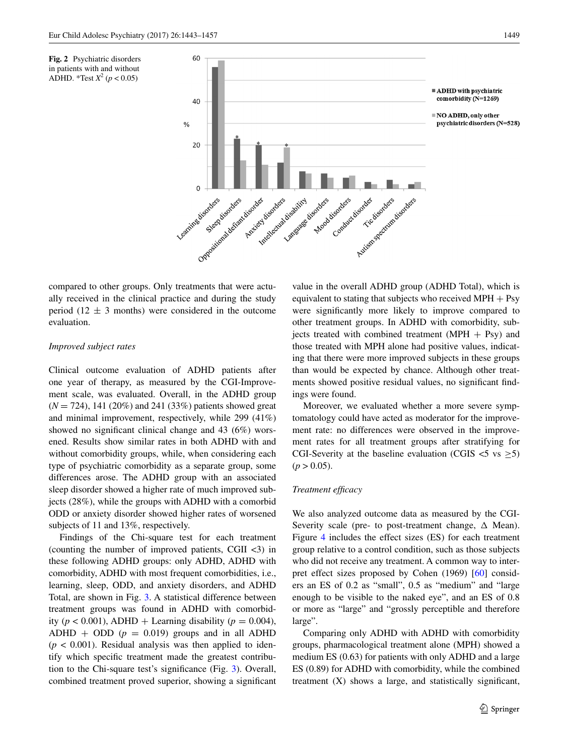<span id="page-6-0"></span>

compared to other groups. Only treatments that were actually received in the clinical practice and during the study period (12  $\pm$  3 months) were considered in the outcome evaluation.

#### *Improved subject rates*

Clinical outcome evaluation of ADHD patients after one year of therapy, as measured by the CGI-Improvement scale, was evaluated. Overall, in the ADHD group (*N* = 724), 141 (20%) and 241 (33%) patients showed great and minimal improvement, respectively, while 299 (41%) showed no signifcant clinical change and 43 (6%) worsened. Results show similar rates in both ADHD with and without comorbidity groups, while, when considering each type of psychiatric comorbidity as a separate group, some differences arose. The ADHD group with an associated sleep disorder showed a higher rate of much improved subjects (28%), while the groups with ADHD with a comorbid ODD or anxiety disorder showed higher rates of worsened subjects of 11 and 13%, respectively.

Findings of the Chi-square test for each treatment (counting the number of improved patients, CGII  $\langle 3 \rangle$  in these following ADHD groups: only ADHD, ADHD with comorbidity, ADHD with most frequent comorbidities, i.e., learning, sleep, ODD, and anxiety disorders, and ADHD Total, are shown in Fig. [3](#page-7-0). A statistical difference between treatment groups was found in ADHD with comorbidity ( $p < 0.001$ ), ADHD + Learning disability ( $p = 0.004$ ), ADHD + ODD  $(p = 0.019)$  groups and in all ADHD  $(p < 0.001)$ . Residual analysis was then applied to identify which specifc treatment made the greatest contribution to the Chi-square test's signifcance (Fig. [3](#page-7-0)). Overall, combined treatment proved superior, showing a signifcant value in the overall ADHD group (ADHD Total), which is equivalent to stating that subjects who received  $MPH + Py$ were signifcantly more likely to improve compared to other treatment groups. In ADHD with comorbidity, subjects treated with combined treatment  $(MPH + Psy)$  and those treated with MPH alone had positive values, indicating that there were more improved subjects in these groups than would be expected by chance. Although other treatments showed positive residual values, no signifcant fndings were found.

Moreover, we evaluated whether a more severe symptomatology could have acted as moderator for the improvement rate: no differences were observed in the improvement rates for all treatment groups after stratifying for CGI-Severity at the baseline evaluation (CGIS  $\leq$  vs  $\geq$  5)  $(p > 0.05)$ .

#### *Treatment effcacy*

We also analyzed outcome data as measured by the CGI-Severity scale (pre- to post-treatment change, Δ Mean). Figure [4](#page-8-0) includes the effect sizes (ES) for each treatment group relative to a control condition, such as those subjects who did not receive any treatment. A common way to interpret effect sizes proposed by Cohen (1969) [\[60](#page-13-15)] considers an ES of 0.2 as "small", 0.5 as "medium" and "large enough to be visible to the naked eye", and an ES of 0.8 or more as "large" and "grossly perceptible and therefore large".

Comparing only ADHD with ADHD with comorbidity groups, pharmacological treatment alone (MPH) showed a medium ES (0.63) for patients with only ADHD and a large ES (0.89) for ADHD with comorbidity, while the combined treatment  $(X)$  shows a large, and statistically significant,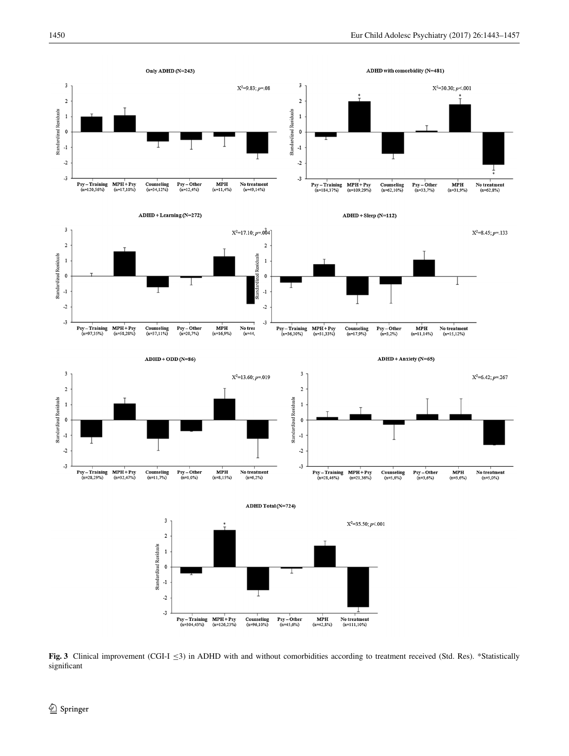

<span id="page-7-0"></span>**Fig. 3** Clinical improvement (CGI-I ≤3) in ADHD with and without comorbidities according to treatment received (Std. Res). \*Statistically signifcant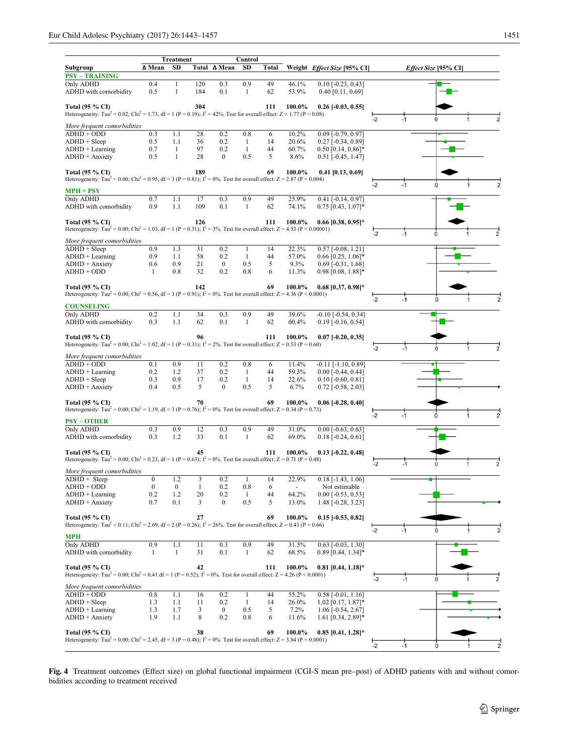|                                                                                                                                                                                 |              | Treatment    |     |                  | Control      |       |        |                              |                |      |                      |                |
|---------------------------------------------------------------------------------------------------------------------------------------------------------------------------------|--------------|--------------|-----|------------------|--------------|-------|--------|------------------------------|----------------|------|----------------------|----------------|
| Subgroup                                                                                                                                                                        | ∆ Mean       | <b>SD</b>    |     | Total ∆ Mean     | <b>SD</b>    | Total |        | Weight Effect Size [95% CI]  |                |      | Effect Size [95% CI] |                |
| <b>PSY-TRAINING</b>                                                                                                                                                             |              |              |     |                  |              |       |        |                              |                |      |                      |                |
| Only ADHD                                                                                                                                                                       | 0.4          | $\mathbf{1}$ | 120 | 0.3              | 0.9          | 49    | 46.1%  | $0.10$ [-0.23, 0.43]         |                |      |                      |                |
| ADHD with comorbidity                                                                                                                                                           | 0.5          | 1            | 184 | 0.1              | 1            | 62    | 53.9%  | $0.40$ [0.11, 0.69]          |                |      |                      |                |
|                                                                                                                                                                                 |              |              |     |                  |              |       |        |                              |                |      |                      |                |
| <b>Total (95 % CI)</b>                                                                                                                                                          |              |              | 304 |                  |              | 111   | 100.0% | $0.26$ [-0.03, 0.55]         |                |      |                      |                |
| Heterogeneity: Tau <sup>2</sup> = 0.02; Chi <sup>2</sup> = 1.73, df = 1 (P = 0.19); 1 <sup>2</sup> = 42%. Test for overall effect: Z = 1.77 (P = 0.08)                          |              |              |     |                  |              |       |        |                              |                |      |                      |                |
|                                                                                                                                                                                 |              |              |     |                  |              |       |        |                              | $-2$           | -1   |                      |                |
| More frequent comorbidities                                                                                                                                                     |              |              |     |                  |              |       |        |                              |                |      |                      |                |
| $ADHD + ODD$                                                                                                                                                                    | 0.3          | 1.1          | 28  | 0.2              | 0.8          | 6     | 10.2%  | $0.09$ [-0.79, 0.97]         |                |      |                      |                |
| $ADHD + Sleep$                                                                                                                                                                  | 0.5          | 1.1          | 36  | 0.2              | $\mathbf{1}$ | 14    | 20.6%  | $0.27$ [-0.34, 0.89]         |                |      |                      |                |
| $ADHD + Learning$                                                                                                                                                               | 0.7          | $\mathbf{1}$ | 97  | 0.2              | $\mathbf{1}$ | 44    | 60.7%  | $0.50$ [0.14, 0.86]*         |                |      |                      |                |
|                                                                                                                                                                                 |              | 1            | 28  | $\mathbf{0}$     | 0.5          | 5     |        |                              |                |      |                      |                |
| $ADHD + Anxiety$                                                                                                                                                                | 0.5          |              |     |                  |              |       | 8.6%   | $0.51$ [-0.45, 1.47]         |                |      |                      |                |
|                                                                                                                                                                                 |              |              |     |                  |              |       |        |                              |                |      |                      |                |
| <b>Total (95 % CI)</b>                                                                                                                                                          |              |              | 189 |                  |              | 69    | 100.0% | $0.41$ [0.13, 0.69]          |                |      |                      |                |
| Heterogeneity: Tau <sup>2</sup> = 0.00; Chi <sup>2</sup> = 0.95, df = 3 (P = 0.81); $I^2 = 0\%$ . Test for overall effect: Z = 2.87 (P = 0.004)                                 |              |              |     |                  |              |       |        |                              | $-2$           |      |                      |                |
| $MPH + PSY$                                                                                                                                                                     |              |              |     |                  |              |       |        |                              |                |      |                      |                |
| Only ADHD                                                                                                                                                                       | 0.7          | 1.1          | 17  | 0.3              | 0.9          | 49    | 25.9%  | $0.41$ [-0.14, 0.97]         |                |      |                      |                |
|                                                                                                                                                                                 | 0.9          | 1.1          | 109 | 0.1              | 1            | 62    | 74.1%  | $0.75$ [0.43, 1.07]*         |                |      |                      |                |
| ADHD with comorbidity                                                                                                                                                           |              |              |     |                  |              |       |        |                              |                |      |                      |                |
|                                                                                                                                                                                 |              |              |     |                  |              |       |        |                              |                |      |                      |                |
| <b>Total (95 % CI)</b>                                                                                                                                                          |              |              | 126 |                  |              | 111   | 100.0% | $0.66$ [0.38, 0.95]*         |                |      |                      |                |
| Heterogeneity: Tau <sup>2</sup> = 0.00; Chi <sup>2</sup> = 1.03, df = 1 (P = 0.31); $I^2 = 3\%$ . Test for overall effect: Z = 4.53 (P < 0.00001)                               |              |              |     |                  |              |       |        |                              | $-2$           | -1   |                      | 2              |
| More frequent comorbidities                                                                                                                                                     |              |              |     |                  |              |       |        |                              |                |      |                      |                |
|                                                                                                                                                                                 |              |              |     |                  |              |       |        |                              |                |      |                      |                |
| $ADHD + Sleep$                                                                                                                                                                  | 0.9          | 1.3          | 31  | 0.2              | 1            | 14    | 22.3%  | $0.57$ [-0.08, 1.21]         |                |      |                      |                |
| $ADHD + Learning$                                                                                                                                                               | 0.9          | 1.1          | 58  | 0.2              | $\mathbf{1}$ | 44    | 57.0%  | $0.66$ [0.25, 1.06]*         |                |      |                      |                |
| $ADHD + Anxiety$                                                                                                                                                                | 0.6          | 0.9          | 21  | $\boldsymbol{0}$ | 0.5          | 5     | 9.3%   | $0.69$ [-0.31, 1.68]         |                |      |                      |                |
| $ADHD + ODD$                                                                                                                                                                    | $\mathbf{1}$ | 0.8          | 32  | 0.2              | 0.8          | 6     | 11.3%  | $0.98$ [0.08, 1.88]*         |                |      |                      |                |
|                                                                                                                                                                                 |              |              |     |                  |              |       |        |                              |                |      |                      |                |
| <b>Total (95 % CI)</b>                                                                                                                                                          |              |              | 142 |                  |              | 69    | 100.0% | $0.68$ [0.37, 0.98]*         |                |      |                      |                |
| Heterogeneity: Tau <sup>2</sup> = 0.00; Chi <sup>2</sup> = 0.56, df = 3 (P = 0.91); $I^2 = 0\%$ . Test for overall effect: Z = 4.36 (P < 0.0001)                                |              |              |     |                  |              |       |        |                              |                |      |                      |                |
|                                                                                                                                                                                 |              |              |     |                  |              |       |        |                              | $-2$           | $-1$ | O                    |                |
| <b>COUNSELING</b>                                                                                                                                                               |              |              |     |                  |              |       |        |                              |                |      |                      |                |
| Only ADHD                                                                                                                                                                       | 0.2          | 1.1          | 34  | 0.3              | 0.9          | 49    | 39.6%  | $-0.10$ $[-0.54, 0.34]$      |                |      |                      |                |
| ADHD with comorbidity                                                                                                                                                           | 0.3          | 1.1          | 62  | 0.1              | 1            | 62    | 60.4%  | $0.19$ [-0.16, 0.54]         |                |      |                      |                |
|                                                                                                                                                                                 |              |              |     |                  |              |       |        |                              |                |      |                      |                |
| <b>Total (95 % CI)</b>                                                                                                                                                          |              |              | 96  |                  |              | 111   | 100.0% | $0.07$ [-0.20, 0.35]         |                |      |                      |                |
| Heterogeneity: Tau <sup>2</sup> = 0.00; Chi <sup>2</sup> = 1.02, df = 1 (P = 0.31); I <sup>2</sup> = 2%. Test for overall effect: Z = 0.53 (P = 0.60)                           |              |              |     |                  |              |       |        |                              |                |      |                      |                |
|                                                                                                                                                                                 |              |              |     |                  |              |       |        |                              | $-2$           | -1   |                      |                |
| More frequent comorbidities                                                                                                                                                     |              |              |     |                  |              |       |        |                              |                |      |                      |                |
| $ADHD + ODD$                                                                                                                                                                    | 0.1          | 0.9          | 11  | 0.2              | 0.8          | 6     | 11.4%  | $-0.11$ [ $-1.10$ , $0.89$ ] |                |      |                      |                |
| $ADHD + Learning$                                                                                                                                                               | 0.2          | 1.2          | 37  | 0.2              | 1            | 44    | 59.3%  | $0.00$ [-0.44, 0.44]         |                |      |                      |                |
| $ADHD + Sleep$                                                                                                                                                                  | 0.3          | 0.9          | 17  | 0.2              | $\mathbf{1}$ | 14    | 22.6%  | $0.10$ [-0.60, 0.81]         |                |      |                      |                |
| $ADHD + Anxiety$                                                                                                                                                                | 0.4          | 0.5          | 5   | $\mathbf{0}$     | 0.5          | 5     | 6.7%   | $0.72$ [-0.58, 2.03]         |                |      |                      |                |
|                                                                                                                                                                                 |              |              |     |                  |              |       |        |                              |                |      |                      |                |
|                                                                                                                                                                                 |              |              | 70  |                  |              | 69    | 100.0% |                              |                |      |                      |                |
| <b>Total (95 % CI)</b><br>Heterogeneity: Tau <sup>2</sup> = 0.00; Chi <sup>2</sup> = 1.19, df = 3 (P = 0.76); I <sup>2</sup> = 0%. Test for overall effect: Z = 0.34 (P = 0.73) |              |              |     |                  |              |       |        | $0.06$ [-0.28, 0.40]         |                |      |                      |                |
|                                                                                                                                                                                 |              |              |     |                  |              |       |        |                              | $-2$           |      |                      |                |
| <b>PSY-OTHER</b>                                                                                                                                                                |              |              |     |                  |              |       |        |                              |                |      |                      |                |
| Only ADHD                                                                                                                                                                       | 0.3          | 0.9          | 12  | 0.3              | 0.9          | 49    | 31.0%  | $0.00$ [-0.63, 0.63]         |                |      |                      |                |
| ADHD with comorbidity                                                                                                                                                           | 0.3          | 1.2          | 33  | 0.1              | $\mathbf{1}$ | 62    | 69.0%  |                              |                |      |                      |                |
|                                                                                                                                                                                 |              |              |     |                  |              |       |        | $0.18$ [ $-0.24$ , $0.61$ ]  |                |      |                      |                |
|                                                                                                                                                                                 |              |              |     |                  |              |       |        |                              |                |      |                      |                |
| <b>Total (95 % CI)</b>                                                                                                                                                          |              |              | 45  |                  |              | 111   | 100.0% | $0.13$ [-0.22, 0.48]         |                |      |                      |                |
| Heterogeneity: Tau <sup>2</sup> = 0.00; Chi <sup>2</sup> = 0.23, df = 1 (P = 0.63); I <sup>2</sup> = 0%. Test for overall effect: Z = 0.71 (P = 0.48)                           |              |              |     |                  |              |       |        |                              | $\cdot$ -2     | $-1$ |                      |                |
| More frequent comorbidities                                                                                                                                                     |              |              |     |                  |              |       |        |                              |                |      |                      |                |
|                                                                                                                                                                                 | $\mathbf{0}$ | 1.2          | 3   | 0.2              | $\mathbf{1}$ |       |        | $0.18$ [-1.43, 1.06]         |                |      |                      |                |
| $ADHD + Sleep$                                                                                                                                                                  |              |              |     |                  |              | 14    | 22.9%  |                              |                |      |                      |                |
| $ADHD + ODD$                                                                                                                                                                    | 0            | 0            | 1   | 0.2              | $_{0.8}$     | 6     |        | Not estimable                |                |      |                      |                |
| $ADHD + Learning$                                                                                                                                                               | 0.2          | 1.2          | 20  | 0.2              | $\mathbf{1}$ | 44    | 64.2%  | $0.00$ [-0.53, 0.53]         |                |      |                      |                |
| $ADHD + Anxiety$                                                                                                                                                                | 0.7          | 0.1          | 3   | $\mathbf{0}$     | 0.5          | 5     | 13.0%  | $1.48$ [-0.28, 3.23]         |                |      |                      |                |
|                                                                                                                                                                                 |              |              |     |                  |              |       |        |                              |                |      |                      |                |
| <b>Total (95 % CI)</b>                                                                                                                                                          |              |              | 27  |                  |              | 69    | 100.0% | $0.15$ [-0.53, 0.82]         |                |      |                      |                |
| Heterogeneity: Tau <sup>2</sup> = 0.11; Chi <sup>2</sup> = 2.69, df = 2 (P = 0.26); 1 <sup>2</sup> = 26%. Test for overall effect: Z = 0.43 (P = 0.66)                          |              |              |     |                  |              |       |        |                              |                |      |                      |                |
|                                                                                                                                                                                 |              |              |     |                  |              |       |        |                              | $-2$           | -1   |                      |                |
| <b>MPH</b>                                                                                                                                                                      |              |              |     |                  |              |       |        |                              |                |      |                      |                |
| Only ADHD                                                                                                                                                                       | 0.9          | 1.1          | 11  | 0.3              | 0.9          | 49    | 31.5%  | $0.63$ [-0.03, 1.30]         |                |      |                      |                |
| ADHD with comorbidity                                                                                                                                                           | $\mathbf{1}$ | 1            | 31  | 0.1              | $\mathbf{1}$ | 62    | 68.5%  | $0.89$ [0.44, 1.34]*         |                |      |                      |                |
|                                                                                                                                                                                 |              |              |     |                  |              |       |        |                              |                |      |                      |                |
| <b>Total (95 % CI)</b>                                                                                                                                                          |              |              | 42  |                  |              | 111   | 100.0% | $0.81$ [0.44, 1.18]*         |                |      |                      |                |
| Heterogeneity: Tau <sup>2</sup> = 0.00; Chi <sup>2</sup> = 0.41 df = 1 (P = 0.52); 1 <sup>2</sup> = 0%. Test for overall effect: Z = 4.26 (P < 0.0001)                          |              |              |     |                  |              |       |        |                              |                |      |                      |                |
|                                                                                                                                                                                 |              |              |     |                  |              |       |        |                              | $\overline{2}$ | -1   | 0                    | $\overline{2}$ |
| More frequent comorbidities                                                                                                                                                     |              |              |     |                  |              |       |        |                              |                |      |                      |                |
| $ADHD + ODD$                                                                                                                                                                    | 0.8          | 1.1          | 16  | 0.2              | 1            | 44    | 55.2%  | $0.58$ [-0.01, 1.16]         |                |      |                      |                |
| $ADHD + Sleep$                                                                                                                                                                  | 1.3          | 1.1          | 11  | 0.2              | 1            | 14    | 26.0%  | $1.02$ [0.17, 1.87]*         |                |      |                      |                |
| $ADHD + Learning$                                                                                                                                                               | 1.3          | 1.7          | 3   | $\bf{0}$         | 0.5          | 5     | 7.2%   | $1.06$ [ $-0.54$ , 2.67]     |                |      |                      |                |
| $ADHD + Anxiety$                                                                                                                                                                | 1.9          | 1.1          | 8   | 0.2              | 0.8          | 6     | 11.6%  | 1.61 $[0.34, 2.89]$ *        |                |      |                      |                |
|                                                                                                                                                                                 |              |              |     |                  |              |       |        |                              |                |      |                      |                |
| <b>Total (95 % CI)</b>                                                                                                                                                          |              |              | 38  |                  |              | 69    | 100.0% |                              |                |      |                      |                |
| Heterogeneity: Tau <sup>2</sup> = 0.00; Chi <sup>2</sup> = 2.45, df = 3 (P = 0.48); I <sup>2</sup> = 0%. Test for overall effect: Z = 3.84 (P = 0.0001)                         |              |              |     |                  |              |       |        | $0.85$ [0.41, 1.28]*         |                |      |                      |                |
|                                                                                                                                                                                 |              |              |     |                  |              |       |        |                              | $-2$           | -1   | 0                    |                |
|                                                                                                                                                                                 |              |              |     |                  |              |       |        |                              |                |      |                      |                |

<span id="page-8-0"></span>**Fig. 4** Treatment outcomes (Effect size) on global functional impairment (CGI-S mean pre–post) of ADHD patients with and without comorbidities according to treatment received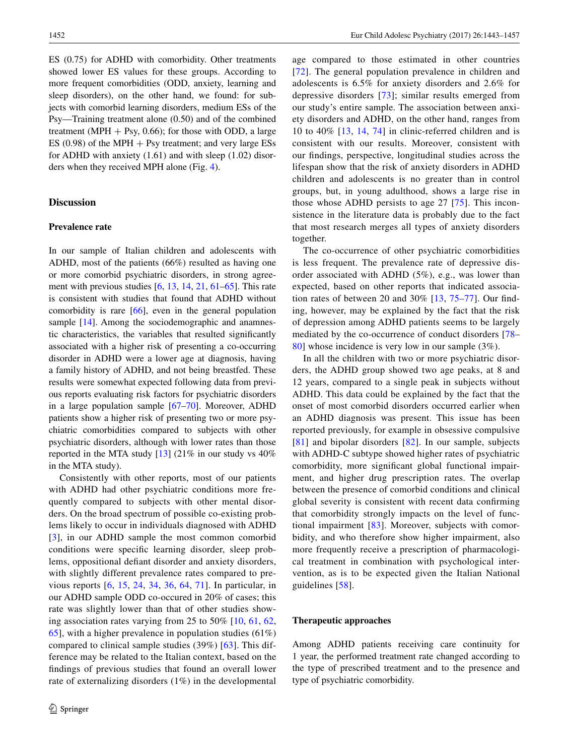ES (0.75) for ADHD with comorbidity. Other treatments showed lower ES values for these groups. According to more frequent comorbidities (ODD, anxiety, learning and sleep disorders), on the other hand, we found: for subjects with comorbid learning disorders, medium ESs of the Psy—Training treatment alone (0.50) and of the combined treatment (MPH  $+$  Psy, 0.66); for those with ODD, a large ES (0.98) of the MPH  $+$  Psy treatment; and very large ESs for ADHD with anxiety (1.61) and with sleep (1.02) disorders when they received MPH alone (Fig. [4\)](#page-8-0).

## **Discussion**

#### **Prevalence rate**

In our sample of Italian children and adolescents with ADHD, most of the patients (66%) resulted as having one or more comorbid psychiatric disorders, in strong agreement with previous studies  $[6, 13, 14, 21, 61–65]$  $[6, 13, 14, 21, 61–65]$  $[6, 13, 14, 21, 61–65]$  $[6, 13, 14, 21, 61–65]$  $[6, 13, 14, 21, 61–65]$  $[6, 13, 14, 21, 61–65]$  $[6, 13, 14, 21, 61–65]$  $[6, 13, 14, 21, 61–65]$  $[6, 13, 14, 21, 61–65]$  $[6, 13, 14, 21, 61–65]$  $[6, 13, 14, 21, 61–65]$  $[6, 13, 14, 21, 61–65]$ . This rate is consistent with studies that found that ADHD without comorbidity is rare [\[66](#page-13-18)], even in the general population sample [\[14](#page-12-37)]. Among the sociodemographic and anamnestic characteristics, the variables that resulted signifcantly associated with a higher risk of presenting a co-occurring disorder in ADHD were a lower age at diagnosis, having a family history of ADHD, and not being breastfed. These results were somewhat expected following data from previous reports evaluating risk factors for psychiatric disorders in a large population sample [[67–](#page-13-19)[70\]](#page-13-20). Moreover, ADHD patients show a higher risk of presenting two or more psychiatric comorbidities compared to subjects with other psychiatric disorders, although with lower rates than those reported in the MTA study [[13\]](#page-12-14) (21% in our study vs 40% in the MTA study).

Consistently with other reports, most of our patients with ADHD had other psychiatric conditions more frequently compared to subjects with other mental disorders. On the broad spectrum of possible co-existing problems likely to occur in individuals diagnosed with ADHD [\[3\]](#page-12-2), in our ADHD sample the most common comorbid conditions were specifc learning disorder, sleep problems, oppositional defant disorder and anxiety disorders, with slightly different prevalence rates compared to previous reports [\[6](#page-12-36), [15,](#page-12-9) [24,](#page-12-17) [34,](#page-12-27) [36](#page-12-29), [64](#page-13-21), [71\]](#page-13-22). In particular, in our ADHD sample ODD co-occured in 20% of cases; this rate was slightly lower than that of other studies showing association rates varying from 25 to 50% [[10](#page-12-8), [61,](#page-13-16) [62,](#page-13-23) [65](#page-13-17)], with a higher prevalence in population studies (61%) compared to clinical sample studies (39%) [[63](#page-13-24)]. This difference may be related to the Italian context, based on the fndings of previous studies that found an overall lower rate of externalizing disorders (1%) in the developmental age compared to those estimated in other countries [[72\]](#page-13-25). The general population prevalence in children and adolescents is 6.5% for anxiety disorders and 2.6% for depressive disorders [\[73\]](#page-13-26); similar results emerged from our study's entire sample. The association between anxiety disorders and ADHD, on the other hand, ranges from 10 to 40% [\[13](#page-12-14), [14,](#page-12-37) [74](#page-13-27)] in clinic-referred children and is consistent with our results. Moreover, consistent with our fndings, perspective, longitudinal studies across the lifespan show that the risk of anxiety disorders in ADHD children and adolescents is no greater than in control groups, but, in young adulthood, shows a large rise in those whose ADHD persists to age 27 [[75](#page-13-28)]. This inconsistence in the literature data is probably due to the fact that most research merges all types of anxiety disorders together.

The co-occurrence of other psychiatric comorbidities is less frequent. The prevalence rate of depressive disorder associated with ADHD (5%), e.g., was lower than expected, based on other reports that indicated association rates of between 20 and 30% [[13,](#page-12-14) [75](#page-13-28)[–77](#page-13-29)]. Our fnding, however, may be explained by the fact that the risk of depression among ADHD patients seems to be largely mediated by the co-occurrence of conduct disorders [[78](#page-13-30)– [80](#page-14-0)] whose incidence is very low in our sample (3%).

In all the children with two or more psychiatric disorders, the ADHD group showed two age peaks, at 8 and 12 years, compared to a single peak in subjects without ADHD. This data could be explained by the fact that the onset of most comorbid disorders occurred earlier when an ADHD diagnosis was present. This issue has been reported previously, for example in obsessive compulsive [[81\]](#page-14-1) and bipolar disorders [[82](#page-14-2)]. In our sample, subjects with ADHD-C subtype showed higher rates of psychiatric comorbidity, more signifcant global functional impairment, and higher drug prescription rates. The overlap between the presence of comorbid conditions and clinical global severity is consistent with recent data confrming that comorbidity strongly impacts on the level of functional impairment [[83\]](#page-14-3). Moreover, subjects with comorbidity, and who therefore show higher impairment, also more frequently receive a prescription of pharmacological treatment in combination with psychological intervention, as is to be expected given the Italian National guidelines [[58](#page-13-13)].

#### **Therapeutic approaches**

Among ADHD patients receiving care continuity for 1 year, the performed treatment rate changed according to the type of prescribed treatment and to the presence and type of psychiatric comorbidity.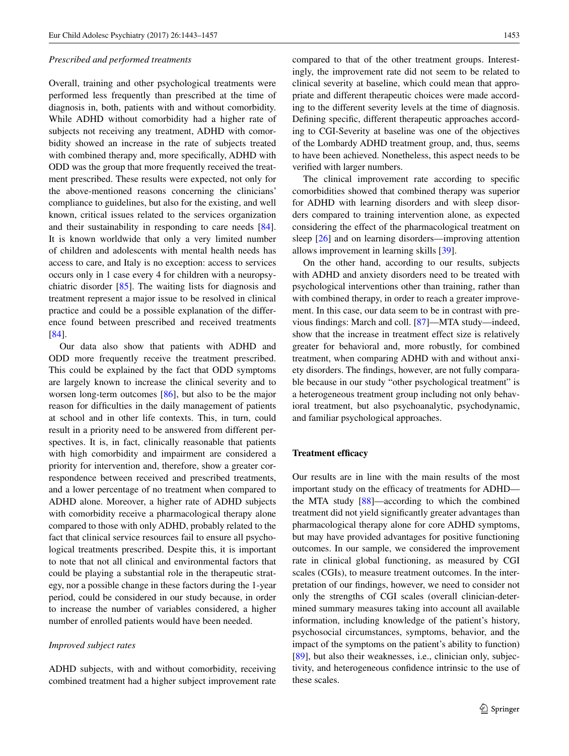#### *Prescribed and performed treatments*

Overall, training and other psychological treatments were performed less frequently than prescribed at the time of diagnosis in, both, patients with and without comorbidity. While ADHD without comorbidity had a higher rate of subjects not receiving any treatment, ADHD with comorbidity showed an increase in the rate of subjects treated with combined therapy and, more specifcally, ADHD with ODD was the group that more frequently received the treatment prescribed. These results were expected, not only for the above-mentioned reasons concerning the clinicians' compliance to guidelines, but also for the existing, and well known, critical issues related to the services organization and their sustainability in responding to care needs [\[84](#page-14-4)]. It is known worldwide that only a very limited number of children and adolescents with mental health needs has access to care, and Italy is no exception: access to services occurs only in 1 case every 4 for children with a neuropsychiatric disorder [[85\]](#page-14-5). The waiting lists for diagnosis and treatment represent a major issue to be resolved in clinical practice and could be a possible explanation of the difference found between prescribed and received treatments [\[84](#page-14-4)].

Our data also show that patients with ADHD and ODD more frequently receive the treatment prescribed. This could be explained by the fact that ODD symptoms are largely known to increase the clinical severity and to worsen long-term outcomes [\[86](#page-14-6)], but also to be the major reason for diffculties in the daily management of patients at school and in other life contexts. This, in turn, could result in a priority need to be answered from different perspectives. It is, in fact, clinically reasonable that patients with high comorbidity and impairment are considered a priority for intervention and, therefore, show a greater correspondence between received and prescribed treatments, and a lower percentage of no treatment when compared to ADHD alone. Moreover, a higher rate of ADHD subjects with comorbidity receive a pharmacological therapy alone compared to those with only ADHD, probably related to the fact that clinical service resources fail to ensure all psychological treatments prescribed. Despite this, it is important to note that not all clinical and environmental factors that could be playing a substantial role in the therapeutic strategy, nor a possible change in these factors during the 1-year period, could be considered in our study because, in order to increase the number of variables considered, a higher number of enrolled patients would have been needed.

### *Improved subject rates*

ADHD subjects, with and without comorbidity, receiving combined treatment had a higher subject improvement rate

compared to that of the other treatment groups. Interestingly, the improvement rate did not seem to be related to clinical severity at baseline, which could mean that appropriate and different therapeutic choices were made according to the different severity levels at the time of diagnosis. Defning specifc, different therapeutic approaches according to CGI-Severity at baseline was one of the objectives of the Lombardy ADHD treatment group, and, thus, seems to have been achieved. Nonetheless, this aspect needs to be verifed with larger numbers.

The clinical improvement rate according to specifc comorbidities showed that combined therapy was superior for ADHD with learning disorders and with sleep disorders compared to training intervention alone, as expected considering the effect of the pharmacological treatment on sleep [\[26](#page-12-19)] and on learning disorders—improving attention allows improvement in learning skills [[39\]](#page-12-32).

On the other hand, according to our results, subjects with ADHD and anxiety disorders need to be treated with psychological interventions other than training, rather than with combined therapy, in order to reach a greater improvement. In this case, our data seem to be in contrast with previous fndings: March and coll. [\[87](#page-14-7)]—MTA study—indeed, show that the increase in treatment effect size is relatively greater for behavioral and, more robustly, for combined treatment, when comparing ADHD with and without anxiety disorders. The fndings, however, are not fully comparable because in our study "other psychological treatment" is a heterogeneous treatment group including not only behavioral treatment, but also psychoanalytic, psychodynamic, and familiar psychological approaches.

#### **Treatment efficacy**

Our results are in line with the main results of the most important study on the efficacy of treatments for ADHD the MTA study [[88\]](#page-14-8)—according to which the combined treatment did not yield signifcantly greater advantages than pharmacological therapy alone for core ADHD symptoms, but may have provided advantages for positive functioning outcomes. In our sample, we considered the improvement rate in clinical global functioning, as measured by CGI scales (CGIs), to measure treatment outcomes. In the interpretation of our fndings, however, we need to consider not only the strengths of CGI scales (overall clinician-determined summary measures taking into account all available information, including knowledge of the patient's history, psychosocial circumstances, symptoms, behavior, and the impact of the symptoms on the patient's ability to function) [\[89](#page-14-9)], but also their weaknesses, i.e., clinician only, subjectivity, and heterogeneous confdence intrinsic to the use of these scales.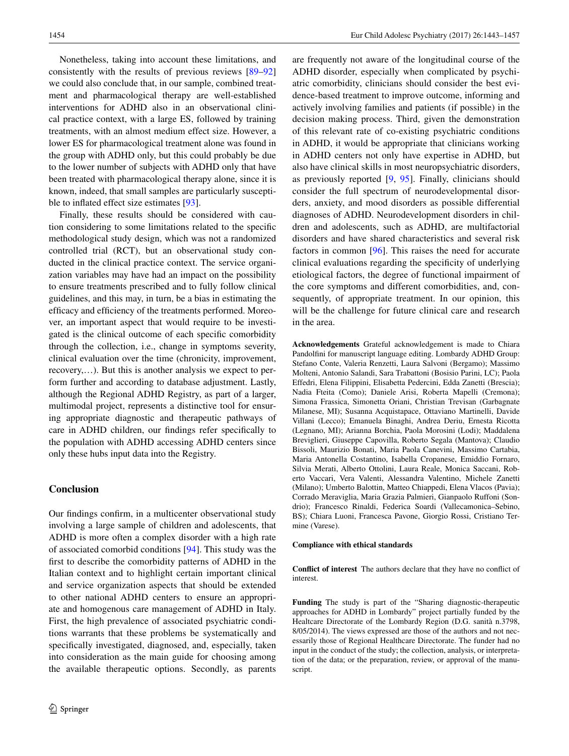Nonetheless, taking into account these limitations, and consistently with the results of previous reviews [[89–](#page-14-9)[92\]](#page-14-10) we could also conclude that, in our sample, combined treatment and pharmacological therapy are well-established interventions for ADHD also in an observational clinical practice context, with a large ES, followed by training treatments, with an almost medium effect size. However, a lower ES for pharmacological treatment alone was found in the group with ADHD only, but this could probably be due to the lower number of subjects with ADHD only that have been treated with pharmacological therapy alone, since it is known, indeed, that small samples are particularly susceptible to infated effect size estimates [[93\]](#page-14-11).

Finally, these results should be considered with caution considering to some limitations related to the specifc methodological study design, which was not a randomized controlled trial (RCT), but an observational study conducted in the clinical practice context. The service organization variables may have had an impact on the possibility to ensure treatments prescribed and to fully follow clinical guidelines, and this may, in turn, be a bias in estimating the efficacy and efficiency of the treatments performed. Moreover, an important aspect that would require to be investigated is the clinical outcome of each specifc comorbidity through the collection, i.e., change in symptoms severity, clinical evaluation over the time (chronicity, improvement, recovery,…). But this is another analysis we expect to perform further and according to database adjustment. Lastly, although the Regional ADHD Registry, as part of a larger, multimodal project, represents a distinctive tool for ensuring appropriate diagnostic and therapeutic pathways of care in ADHD children, our fndings refer specifcally to the population with ADHD accessing ADHD centers since only these hubs input data into the Registry.

# **Conclusion**

Our fndings confrm, in a multicenter observational study involving a large sample of children and adolescents, that ADHD is more often a complex disorder with a high rate of associated comorbid conditions [\[94](#page-14-12)]. This study was the frst to describe the comorbidity patterns of ADHD in the Italian context and to highlight certain important clinical and service organization aspects that should be extended to other national ADHD centers to ensure an appropriate and homogenous care management of ADHD in Italy. First, the high prevalence of associated psychiatric conditions warrants that these problems be systematically and specifcally investigated, diagnosed, and, especially, taken into consideration as the main guide for choosing among the available therapeutic options. Secondly, as parents are frequently not aware of the longitudinal course of the ADHD disorder, especially when complicated by psychiatric comorbidity, clinicians should consider the best evidence-based treatment to improve outcome, informing and actively involving families and patients (if possible) in the decision making process. Third, given the demonstration of this relevant rate of co-existing psychiatric conditions in ADHD, it would be appropriate that clinicians working in ADHD centers not only have expertise in ADHD, but also have clinical skills in most neuropsychiatric disorders, as previously reported [\[9](#page-12-7), [95](#page-14-13)]. Finally, clinicians should consider the full spectrum of neurodevelopmental disorders, anxiety, and mood disorders as possible differential diagnoses of ADHD. Neurodevelopment disorders in children and adolescents, such as ADHD, are multifactorial disorders and have shared characteristics and several risk factors in common [\[96](#page-14-14)]. This raises the need for accurate clinical evaluations regarding the specifcity of underlying etiological factors, the degree of functional impairment of the core symptoms and different comorbidities, and, consequently, of appropriate treatment. In our opinion, this will be the challenge for future clinical care and research in the area.

**Acknowledgements** Grateful acknowledgement is made to Chiara Pandolfni for manuscript language editing. Lombardy ADHD Group: Stefano Conte, Valeria Renzetti, Laura Salvoni (Bergamo); Massimo Molteni, Antonio Salandi, Sara Trabattoni (Bosisio Parini, LC); Paola Effedri, Elena Filippini, Elisabetta Pedercini, Edda Zanetti (Brescia); Nadia Fteita (Como); Daniele Arisi, Roberta Mapelli (Cremona); Simona Frassica, Simonetta Oriani, Christian Trevisan (Garbagnate Milanese, MI); Susanna Acquistapace, Ottaviano Martinelli, Davide Villani (Lecco); Emanuela Binaghi, Andrea Deriu, Ernesta Ricotta (Legnano, MI); Arianna Borchia, Paola Morosini (Lodi); Maddalena Breviglieri, Giuseppe Capovilla, Roberto Segala (Mantova); Claudio Bissoli, Maurizio Bonati, Maria Paola Canevini, Massimo Cartabia, Maria Antonella Costantino, Isabella Cropanese, Emiddio Fornaro, Silvia Merati, Alberto Ottolini, Laura Reale, Monica Saccani, Roberto Vaccari, Vera Valenti, Alessandra Valentino, Michele Zanetti (Milano); Umberto Balottin, Matteo Chiappedi, Elena Vlacos (Pavia); Corrado Meraviglia, Maria Grazia Palmieri, Gianpaolo Ruffoni (Sondrio); Francesco Rinaldi, Federica Soardi (Vallecamonica–Sebino, BS); Chiara Luoni, Francesca Pavone, Giorgio Rossi, Cristiano Termine (Varese).

#### **Compliance with ethical standards**

**Confict of interest** The authors declare that they have no confict of interest.

**Funding** The study is part of the "Sharing diagnostic-therapeutic approaches for ADHD in Lombardy" project partially funded by the Healtcare Directorate of the Lombardy Region (D.G. sanità n.3798, 8/05/2014). The views expressed are those of the authors and not necessarily those of Regional Healthcare Directorate. The funder had no input in the conduct of the study; the collection, analysis, or interpretation of the data; or the preparation, review, or approval of the manuscript.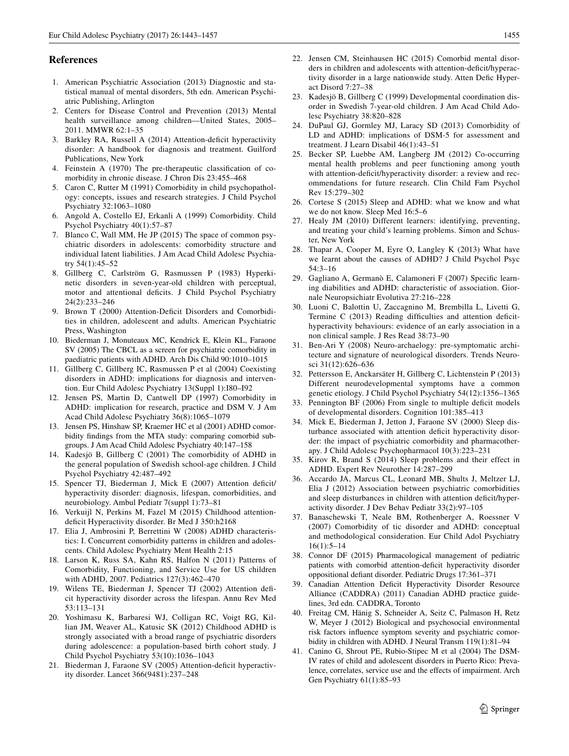#### **References**

- <span id="page-12-0"></span>1. American Psychiatric Association (2013) Diagnostic and statistical manual of mental disorders, 5th edn. American Psychiatric Publishing, Arlington
- <span id="page-12-1"></span>2. Centers for Disease Control and Prevention (2013) Mental health surveillance among children—United States, 2005– 2011. MMWR 62:1–35
- <span id="page-12-2"></span>3. Barkley RA, Russell A (2014) Attention-deficit hyperactivity disorder: A handbook for diagnosis and treatment. Guilford Publications, New York
- <span id="page-12-3"></span>4. Feinstein A (1970) The pre-therapeutic classifcation of comorbidity in chronic disease. J Chron Dis 23:455–468
- <span id="page-12-4"></span>5. Caron C, Rutter M (1991) Comorbidity in child psychopathology: concepts, issues and research strategies. J Child Psychol Psychiatry 32:1063–1080
- <span id="page-12-36"></span>6. Angold A, Costello EJ, Erkanli A (1999) Comorbidity. Child Psychol Psychiatry 40(1):57–87
- <span id="page-12-5"></span>7. Blanco C, Wall MM, He JP (2015) The space of common psychiatric disorders in adolescents: comorbidity structure and individual latent liabilities. J Am Acad Child Adolesc Psychiatry 54(1):45–52
- <span id="page-12-6"></span>8. Gillberg C, Carlström G, Rasmussen P (1983) Hyperkinetic disorders in seven-year-old children with perceptual, motor and attentional deficits. J Child Psychol Psychiatry 24(2):233–246
- <span id="page-12-7"></span>Brown T (2000) Attention-Deficit Disorders and Comorbidities in children, adolescent and adults. American Psychiatric Press, Washington
- <span id="page-12-8"></span>10. Biederman J, Monuteaux MC, Kendrick E, Klein KL, Faraone SV (2005) The CBCL as a screen for psychiatric comorbidity in paediatric patients with ADHD. Arch Dis Child 90:1010–1015
- <span id="page-12-11"></span>11. Gillberg C, Gillberg IC, Rasmussen P et al (2004) Coexisting disorders in ADHD: implications for diagnosis and intervention. Eur Child Adolesc Psychiatry 13(Suppl 1):I80–I92
- <span id="page-12-35"></span>12. Jensen PS, Martin D, Cantwell DP (1997) Comorbidity in ADHD: implication for research, practice and DSM V. J Am Acad Child Adolesc Psychiatry 36(8):1065–1079
- <span id="page-12-14"></span>13. Jensen PS, Hinshaw SP, Kraemer HC et al (2001) ADHD comorbidity fndings from the MTA study: comparing comorbid subgroups. J Am Acad Child Adolesc Psychiatry 40:147–158
- <span id="page-12-37"></span>14. Kadesjö B, Gillberg C (2001) The comorbidity of ADHD in the general population of Swedish school-age children. J Child Psychol Psychiatry 42:487–492
- <span id="page-12-9"></span>15. Spencer TJ, Biederman J, Mick E (2007) Attention defcit/ hyperactivity disorder: diagnosis, lifespan, comorbidities, and neurobiology. Ambul Pediatr 7(suppl 1):73–81
- <span id="page-12-10"></span>16. Verkuijl N, Perkins M, Fazel M (2015) Childhood attentiondeficit Hyperactivity disorder. Br Med J 350:h2168
- <span id="page-12-12"></span>17. Elia J, Ambrosini P, Berrettini W (2008) ADHD characteristics: I. Concurrent comorbidity patterns in children and adolescents. Child Adolesc Psychiatry Ment Health 2:15
- 18. Larson K, Russ SA, Kahn RS, Halfon N (2011) Patterns of Comorbidity, Functioning, and Service Use for US children with ADHD, 2007. Pediatrics 127(3):462–470
- 19. Wilens TE, Biederman J, Spencer TJ (2002) Attention defcit hyperactivity disorder across the lifespan. Annu Rev Med 53:113–131
- <span id="page-12-13"></span>20. Yoshimasu K, Barbaresi WJ, Colligan RC, Voigt RG, Killian JM, Weaver AL, Katusic SK (2012) Childhood ADHD is strongly associated with a broad range of psychiatric disorders during adolescence: a population-based birth cohort study. J Child Psychol Psychiatry 53(10):1036–1043
- <span id="page-12-15"></span>21. Biederman J, Faraone SV (2005) Attention-defcit hyperactivity disorder. Lancet 366(9481):237–248
- 22. Jensen CM, Steinhausen HC (2015) Comorbid mental disorders in children and adolescents with attention-deficit/hyperactivity disorder in a large nationwide study. Atten Defic Hyperact Disord 7:27–38
- <span id="page-12-16"></span>23. Kadesjö B, Gillberg C (1999) Developmental coordination disorder in Swedish 7-year-old children. J Am Acad Child Adolesc Psychiatry 38:820–828
- <span id="page-12-17"></span>24. DuPaul GJ, Gormley MJ, Laracy SD (2013) Comorbidity of LD and ADHD: implications of DSM-5 for assessment and treatment. J Learn Disabil 46(1):43–51
- <span id="page-12-18"></span>25. Becker SP, Luebbe AM, Langberg JM (2012) Co-occurring mental health problems and peer functioning among youth with attention-deficit/hyperactivity disorder: a review and recommendations for future research. Clin Child Fam Psychol Rev 15:279–302
- <span id="page-12-19"></span>26. Cortese S (2015) Sleep and ADHD: what we know and what we do not know. Sleep Med 16:5–6
- <span id="page-12-20"></span>27. Healy JM (2010) Different learners: identifying, preventing, and treating your child's learning problems. Simon and Schuster, New York
- <span id="page-12-21"></span>28. Thapar A, Cooper M, Eyre O, Langley K (2013) What have we learnt about the causes of ADHD? J Child Psychol Psyc 54:3–16
- <span id="page-12-22"></span>29. Gagliano A, Germanò E, Calamoneri F (2007) Specifc learning diabilities and ADHD: characteristic of association. Giornale Neuropsichiatr Evolutiva 27:216–228
- <span id="page-12-23"></span>30. Luoni C, Balottin U, Zaccagnino M, Brembilla L, Livetti G, Termine C (2013) Reading difficulties and attention deficithyperactivity behaviours: evidence of an early association in a non clinical sample. J Res Read 38:73–90
- <span id="page-12-24"></span>31. Ben-Ari Y (2008) Neuro-archaelogy: pre-symptomatic architecture and signature of neurological disorders. Trends Neurosci 31(12):626–636
- <span id="page-12-25"></span>32. Pettersson E, Anckarsäter H, Gillberg C, Lichtenstein P (2013) Different neurodevelopmental symptoms have a common genetic etiology. J Child Psychol Psychiatry 54(12):1356–1365
- <span id="page-12-26"></span>33. Pennington BF (2006) From single to multiple defcit models of developmental disorders. Cognition 101:385–413
- <span id="page-12-27"></span>34. Mick E, Biederman J, Jetton J, Faraone SV (2000) Sleep disturbance associated with attention deficit hyperactivity disorder: the impact of psychiatric comorbidity and pharmacotherapy. J Child Adolesc Psychopharmacol 10(3):223–231
- <span id="page-12-28"></span>35. Kirov R, Brand S (2014) Sleep problems and their effect in ADHD. Expert Rev Neurother 14:287–299
- <span id="page-12-29"></span>36. Accardo JA, Marcus CL, Leonard MB, Shults J, Meltzer LJ, Elia J (2012) Association between psychiatric comorbidities and sleep disturbances in children with attention deficit/hyperactivity disorder. J Dev Behav Pediatr 33(2):97–105
- <span id="page-12-30"></span>37. Banaschewski T, Neale BM, Rothenberger A, Roessner V (2007) Comorbidity of tic disorder and ADHD: conceptual and methodological consideration. Eur Child Adol Psychiatry 16(1):5–14
- <span id="page-12-31"></span>38. Connor DF (2015) Pharmacological management of pediatric patients with comorbid attention-defcit hyperactivity disorder oppositional defant disorder. Pediatric Drugs 17:361–371
- <span id="page-12-32"></span>39. Canadian Attention Deficit Hyperactivity Disorder Resource Alliance (CADDRA) (2011) Canadian ADHD practice guidelines, 3rd edn. CADDRA, Toronto
- <span id="page-12-33"></span>40. Freitag CM, Hänig S, Schneider A, Seitz C, Palmason H, Retz W, Meyer J (2012) Biological and psychosocial environmental risk factors infuence symptom severity and psychiatric comorbidity in children with ADHD. J Neural Transm 119(1):81–94
- <span id="page-12-34"></span>41. Canino G, Shrout PE, Rubio-Stipec M et al (2004) The DSM-IV rates of child and adolescent disorders in Puerto Rico: Prevalence, correlates, service use and the effects of impairment. Arch Gen Psychiatry 61(1):85–93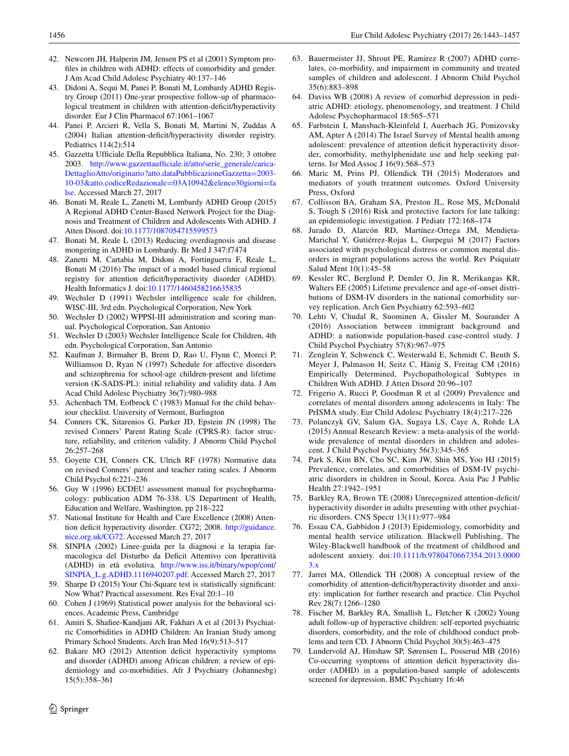- <span id="page-13-0"></span>42. Newcorn JH, Halperin JM, Jensen PS et al (2001) Symptom profles in children with ADHD: effects of comorbidity and gender. J Am Acad Child Adolesc Psychiatry 40:137–146
- <span id="page-13-1"></span>43. Didoni A, Sequi M, Panei P, Bonati M, Lombardy ADHD Registry Group (2011) One-year prospective follow-up of pharmacological treatment in children with attention-deficit/hyperactivity disorder. Eur J Clin Pharmacol 67:1061–1067
- <span id="page-13-2"></span>44. Panei P, Arcieri R, Vella S, Bonati M, Martini N, Zuddas A (2004) Italian attention-deficit/hyperactivity disorder registry. Pediatrics 114(2):514
- <span id="page-13-3"></span>45. Gazzetta Uffciale Della Repubblica Italiana, No. 230; 3 ottobre 2003. [http://www.gazzettauffciale.it/atto/serie\\_generale/carica-](http://www.gazzettaufficiale.it/atto/serie_generale/caricaDettaglioAtto/originario%3fatto.dataPubblicazioneGazzetta%3d2003-10-03%26atto.codiceRedazionale%3d03A10942%26elenco30giorni%3dfalse)[DettaglioAtto/originario?atto.dataPubblicazioneGazzetta](http://www.gazzettaufficiale.it/atto/serie_generale/caricaDettaglioAtto/originario%3fatto.dataPubblicazioneGazzetta%3d2003-10-03%26atto.codiceRedazionale%3d03A10942%26elenco30giorni%3dfalse)=2003- [10-03&atto.codiceRedazionale](http://www.gazzettaufficiale.it/atto/serie_generale/caricaDettaglioAtto/originario%3fatto.dataPubblicazioneGazzetta%3d2003-10-03%26atto.codiceRedazionale%3d03A10942%26elenco30giorni%3dfalse)=03A10942&elenco30giorni=fa [lse](http://www.gazzettaufficiale.it/atto/serie_generale/caricaDettaglioAtto/originario%3fatto.dataPubblicazioneGazzetta%3d2003-10-03%26atto.codiceRedazionale%3d03A10942%26elenco30giorni%3dfalse). Accessed March 27, 2017
- <span id="page-13-4"></span>46. Bonati M, Reale L, Zanetti M, Lombardy ADHD Group (2015) A Regional ADHD Center-Based Network Project for the Diagnosis and Treatment of Children and Adolescents With ADHD. J Atten Disord. doi:[10.1177/1087054715599573](https://doi.org/10.1177/1087054715599573)
- 47. Bonati M, Reale L (2013) Reducing overdiagnosis and disease mongering in ADHD in Lombardy. Br Med J 347:f7474
- <span id="page-13-5"></span>48. Zanetti M, Cartabia M, Didoni A, Fortinguerra F, Reale L, Bonati M (2016) The impact of a model based clinical regional registry for attention deficit/hyperactivity disorder (ADHD). Health Informatics J. doi:[10.1177/1460458216635835](https://doi.org/10.1177/1460458216635835)
- <span id="page-13-6"></span>49. Wechsler D (1991) Wechsler intelligence scale for children, WISC-III, 3rd edn. Psychological Corporation, New York
- 50. Wechsler D (2002) WPPSI-III administration and scoring manual. Psychological Corporation, San Antonio
- <span id="page-13-7"></span>51. Wechsler D (2003) Wechsler Intelligence Scale for Children, 4th edn. Psychological Corporation, San Antonio
- <span id="page-13-8"></span>52. Kaufman J, Birmaher B, Brent D, Rao U, Flynn C, Moreci P, Williamson D, Ryan N (1997) Schedule for affective disorders and schizophrenia for school-age children-present and lifetime version (K-SADS-PL): initial reliability and validity data. J Am Acad Child Adolesc Psychiatry 36(7):980–988
- <span id="page-13-9"></span>53. Achenbach TM, Eofbrock C (1983) Manual for the child behaviour checklist. University of Vermont, Burlington
- 54. Conners CK, Sitarenios G, Parker JD, Epstein JN (1998) The revised Conners' Parent Rating Scale (CPRS-R): factor structure, reliability, and criterion validity. J Abnorm Child Psychol 26:257–268
- <span id="page-13-10"></span>55. Goyette CH, Conners CK, Ulrich RF (1978) Normative data on revised Conners' parent and teacher rating scales. J Abnorm Child Psychol 6:221–236
- <span id="page-13-11"></span>56. Guy W (1996) ECDEU assessment manual for psychopharmacology: publication ADM 76-338. US Department of Health, Education and Welfare, Washington, pp 218–222
- <span id="page-13-12"></span>57. National Institute for Health and Care Excellence (2008) Attention deficit hyperactivity disorder. CG72; 2008. [http://guidance.](http://guidance.nice.org.uk/CG72) [nice.org.uk/CG72.](http://guidance.nice.org.uk/CG72) Accessed March 27, 2017
- <span id="page-13-13"></span>58. SINPIA (2002) Linee-guida per la diagnosi e la terapia farmacologica del Disturbo da Deficit Attentivo con Iperattività (ADHD) in età evolutiva. [http://www.iss.it/binary/wpop/cont/](http://www.iss.it/binary/wpop/cont/SINPIA_L.g.ADHD.1116940207.pdf) [SINPIA\\_L.g.ADHD.1116940207.pdf.](http://www.iss.it/binary/wpop/cont/SINPIA_L.g.ADHD.1116940207.pdf) Accessed March 27, 2017
- <span id="page-13-14"></span>59. Sharpe D (2015) Your Chi-Square test is statistically signifcant: Now What? Practical assessment. Res Eval 20:1–10
- <span id="page-13-15"></span>60. Cohen J (1969) Statistical power analysis for the behavioral sciences. Academic Press, Cambridge
- <span id="page-13-16"></span>61. Amiri S, Shafee-Kandjani AR, Fakhari A et al (2013) Psychiatric Comorbidities in ADHD Children: An Iranian Study among Primary School Students. Arch Iran Med 16(9):513–517
- <span id="page-13-23"></span>62. Bakare MO (2012) Attention defcit hyperactivity symptoms and disorder (ADHD) among African children: a review of epidemiology and co-morbidities. Afr J Psychiatry (Johannesbg) 15(5):358–361
- <span id="page-13-24"></span>63. Bauermeister JJ, Shrout PE, Ramirez R (2007) ADHD correlates, co-morbidity, and impairment in community and treated samples of children and adolescent. J Abnorm Child Psychol 35(6):883–898
- <span id="page-13-21"></span>64. Daviss WB (2008) A review of comorbid depression in pediatric ADHD: etiology, phenomenology, and treatment. J Child Adolesc Psychopharmacol 18:565–571
- <span id="page-13-17"></span>65. Farbstein I, Mansbach-Kleinfeld I, Auerbach JG, Ponizovsky AM, Apter A (2014) The Israel Survey of Mental health among adolescent: prevalence of attention deficit hyperactivity disorder, comorbidity, methylphenidate use and help seeking patterns. Isr Med Assoc J 16(9):568–573
- <span id="page-13-18"></span>66. Maric M, Prins PJ, Ollendick TH (2015) Moderators and mediators of youth treatment outcomes. Oxford University Press, Oxford
- <span id="page-13-19"></span>67. Collisson BA, Graham SA, Preston JL, Rose MS, McDonald S, Tough S (2016) Risk and protective factors for late talking: an epidemiologic investigation. J Pediatr 172:168–174
- 68. Jurado D, Alarcón RD, Martínez-Ortega JM, Mendieta-Marichal Y, Gutiérrez-Rojas L, Gurpegui M (2017) Factors associated with psychological distress or common mental disorders in migrant populations across the world. Rev Psiquiatr Salud Ment 10(1):45–58
- 69. Kessler RC, Berglund P, Demler O, Jin R, Merikangas KR, Walters EE (2005) Lifetime prevalence and age-of-onset distributions of DSM-IV disorders in the national comorbidity survey replication. Arch Gen Psychiatry 62:593–602
- <span id="page-13-20"></span>70. Lehti V, Chudal R, Suominen A, Gissler M, Sourander A (2016) Association between immigrant background and ADHD: a nationwide population-based case-control study. J Child Psychol Psychiatry 57(8):967–975
- <span id="page-13-22"></span>71. Zenglein Y, Schwenck C, Westerwald E, Schmidt C, Beuth S, Meyer J, Palmason H, Seitz C, Hänig S, Freitag CM (2016) Empirically Determined, Psychopathological Subtypes in Children With ADHD. J Atten Disord 20:96–107
- <span id="page-13-25"></span>72. Frigerio A, Rucci P, Goodman R et al (2009) Prevalence and correlates of mental disorders among adolescents in Italy: The PrISMA study. Eur Child Adolesc Psychiatry 18(4):217–226
- <span id="page-13-26"></span>73. Polanczyk GV, Salum GA, Sugaya LS, Caye A, Rohde LA (2015) Annual Research Review: a meta-analysis of the worldwide prevalence of mental disorders in children and adolescent. J Child Psychol Psychiatry 56(3):345–365
- <span id="page-13-27"></span>74. Park S, Kim BN, Cho SC, Kim JW, Shin MS, Yoo HJ (2015) Prevalence, correlates, and comorbidities of DSM-IV psychiatric disorders in children in Seoul, Korea. Asia Pac J Public Health 27:1942–1951
- <span id="page-13-28"></span>75. Barkley RA, Brown TE (2008) Unrecognized attention-defcit/ hyperactivity disorder in adults presenting with other psychiatric disorders. CNS Spectr 13(11):977–984
- 76. Essau CA, Gabbidon J (2013) Epidemiology, comorbidity and mental health service utilization. Blackwell Publishing, The Wiley-Blackwell handbook of the treatment of childhood and adolescent anxiety. doi:[10.1111/b.9780470667354.2013.0000](https://doi.org/10.1111/b.9780470667354.2013.00003.x) [3.x](https://doi.org/10.1111/b.9780470667354.2013.00003.x)
- <span id="page-13-29"></span>77. Jarret MA, Ollendick TH (2008) A conceptual review of the comorbidity of attention-deficit/hyperactivity disorder and anxiety: implication for further research and practice. Clin Psychol Rev 28(7):1266–1280
- <span id="page-13-30"></span>78. Fischer M, Barkley RA, Smallish L, Fletcher K (2002) Young adult follow-up of hyperactive children: self-reported psychiatric disorders, comorbidity, and the role of childhood conduct problems and teen CD. J Abnorm Child Psychol 30(5):463–475
- 79. Lundervold AJ, Hinshaw SP, Sørensen L, Posserud MB (2016) Co-occurring symptoms of attention deficit hyperactivity disorder (ADHD) in a population-based sample of adolescents screened for depression. BMC Psychiatry 16:46